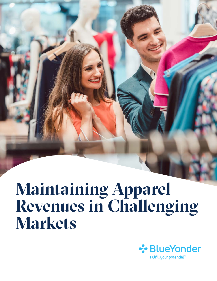## **Maintaining Apparel Revenues in Challenging Markets**

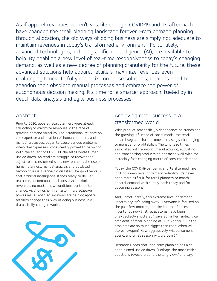As if apparel revenues weren't volatile enough, COVID-19 and its aftermath have changed the retail planning landscape forever. From demand planning through allocation, the old ways of doing business are simply not adequate to maintain revenues in today's transformed environment. Fortunately, advanced technologies, including artificial intelligence (AI), are available to help. By enabling a new level of real-time responsiveness to today's changing demand, as well as a new degree of planning granularity for the future, these advanced solutions help apparel retailers maximize revenues even in challenging times. To fully capitalize on these solutions, retailers need to abandon their obsolete manual processes and embrace the power of autonomous decision making. It's time for a smarter approach, fueled by indepth data analysis and agile business processes.

#### Abstract

Prior to 2020, apparel retail planners were already struggling to maximize revenues in the face of growing demand volatility. Their traditional reliance on the expertise and intuition of human planners, and manual processes, began to cause serious problems when "best guesses" consistently proved to be wrong. With the advent of COVID-19, the retail world turned upside down. As retailers struggle to recover and adjust to a transformed sales environment, the use of human planners, manual analysis and outdated technologies is a recipe for disaster. The good news is that artificial intelligence stands ready to deliver real-time, autonomous decisions that maximize revenues, no matter how conditions continue to change. As they usher in smarter, more adaptive processes, AI-enabled solutions are helping apparel retailers change their way of doing business in a dramatically changed world.



## Achieving retail success in a transformed world

With product seasonality, a dependence on trends and the growing influence of social media, the retail apparel segment has become increasingly challenging to manage for profitability. The long lead times associated with sourcing, manufacturing, allocating and transporting products do not mesh well with the incredibly fast-changing nature of consumer demand.

Today, the COVID-19 pandemic and its aftermath are igniting a new level of demand volatility. It's never been more difficult for retail planners to match apparel demand with supply, both today and for upcoming seasons.

And, unfortunately, this extreme level of demand uncertainty isn't going away. "Everyone is focused on the past few months, and the impact of excess inventories now that retail stores have been unexpectedly shuttered," says Sonia Hernandez, vice president of retail planning at Blue Yonder. "But the problems are so much bigger than that. When will stores re-open? How aggressively will consumers spend, and what season will we be in?"

Hernandez adds that long-term planning has also been turned upside down. "Perhaps the most critical questions revolve around the long view," she says.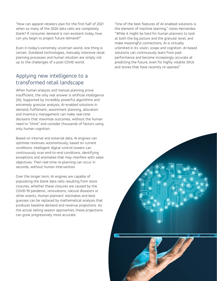"How can apparel retailers plan for the first half of 2021 when so many of the 2020 data cells are completely blank? If consumer demand is non-existent today, how can you begin to project future demand?"

Even in today's extremely uncertain world, one thing is certain. Outdated technologies, manually intensive retail planning processes and human intuition are simply not up to the challenges of a post-COVID world.

### Applying new intelligence to a transformed retail landscape

When human analysis and manual planning prove insufficient, the only real answer is artificial intelligence (AI). Supported by incredibly powerful algorithms and extremely granular analysis, AI-enabled solutions in demand, fulfillment, assortment planning, allocation and inventory management can make real-time decisions that maximize outcomes, without the human need to "think" and consider thousands of factors using only human cognition.

Based on internal and external data, AI engines can optimize revenues autonomously, based on current conditions. Intelligent digital control towers can continuously scan end-to-end conditions, identifying exceptions and anomalies that may interfere with sales objectives. Then real-time re-planning can occur in seconds, without human intervention.

Over the longer term, AI engines are capable of populating the blank data cells resulting from store closures, whether these closures are caused by the COVID-19 pandemic, renovations, natural disasters or other events. Human planners' estimates and best guesses can be replaced by mathematical analysis that produces baseline demand and revenue projections. As the actual selling season approaches, these projections can grow progressively more accurate.

"One of the best features of AI-enabled solutions is the element of machine learning," notes Hernandez. "While it might be hard for human planners to look at both the big picture and the granular level, and make meaningful connections, AI is virtually unlimited in its vision, scope and cognition. AI-based solutions can continuously learn from past performance and become increasingly accurate at predicting the future, even for highly volatile SKUs and stores that have recently re-opened."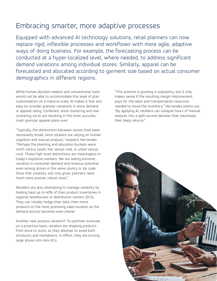## Embracing smarter, more adaptive processes

Equipped with advanced AI technology solutions, retail planners can now replace rigid, inflexible processes and workflows with more agile, adaptive ways of doing business. For example, the forecasting process can be conducted at a hyper-localized level, where needed, to address significant demand variations among individual stores. Similarly, apparel can be forecasted and allocated according to garment size based on actual consumer demographics in different regions.

While human decision-makers and conventional tools would not be able to accommodate this level of plan customization on a massive scale, AI makes it fast and easy to consider granular variations in store demand or apparel sizing. Combined, store clustering and size clustering via AI are resulting in the most accurate, most granular apparel plans ever.

"Typically, the distinctions between stores have been necessarily broad, since retailers are relying on human cognition and manual analysis," explains Hernandez. "Perhaps the planning and allocation buckets were north versus south, hot versus cold, or urban versus rural. Those high-level distinctions are meaningless in today's explosive markets. We are seeing extreme variation in consumer demand and revenue potential even among stores in the same county or zip code. Since that volatility will only grow, planners need much more precise, robust tools."

Retailers are also attempting to manage volatility by holding back up to 40% of their product inventories in regional warehouses or distribution centers (DCs). They can initially hedge their bets, then move products to the most promising sales location as the demand picture becomes ever-clearer.

Another new process variation? To optimize revenues on a proactive basis, retailers are shipping products from store to store, as they attempt to avoid both stockouts and markdowns. In effect, they are turning large stores into mini-DCs.

"This practice is growing in popularity, but it only makes sense if the resulting margin improvement pays for the labor and transportation resources needed to move the inventory," Hernandez points out. "By applying AI, retailers can collapse hours of manual analysis into a split-second decision that maximizes their likely returns."

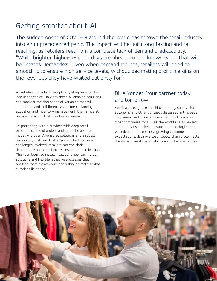## Getting smarter about AI

The sudden onset of COVID-19 around the world has thrown the retail industry into an unprecedented panic. The impact will be both long-lasting and farreaching, as retailers reel from a complete lack of demand predictability. "While brighter, higher-revenue days are ahead, no one knows when that will be," states Hernandez. "Even when demand returns, retailers will need to smooth it to ensure high service levels, without decimating profit margins on the revenues they have waited patiently for."

As retailers consider their options, AI represents the intelligent choice. Only advanced AI-enabled solutions can consider the thousands of variables that will impact demand, fulfillment, assortment planning, allocation and inventory management, then arrive at optimal decisions that maintain revenues.

By partnering with a provider with deep retail experience, a solid understanding of the apparel industry, proven AI-enabled solutions and a robust technology platform that spans all the functional challenges involved, retailers can end their dependence on manual processes and human intuition. They can begin to install intelligent new technology solutions and flexible, adaptive processes that position them for revenue leadership, no matter what surprises lie ahead.

## Blue Yonder: Your partner today, and tomorrow

Artificial intelligence, machine learning, supply chain autonomy and other concepts discussed in this paper may seem like futuristic concepts out of reach for most companies today. But the world's retail leaders are already using these advanced technologies to deal with demand uncertainty, growing consumer expectations, data overload, supply chain disconnects, the drive toward sustainability and other challenges.